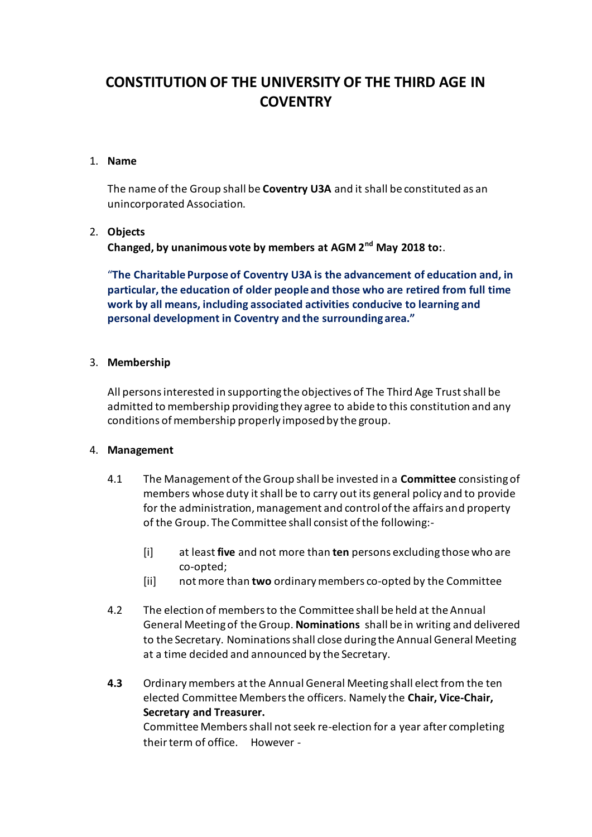# **CONSTITUTION OF THE UNIVERSITY OF THE THIRD AGE IN COVENTRY**

## 1. **Name**

The name of the Group shall be **Coventry U3A** and it shall be constituted as an unincorporated Association.

## 2. **Objects**

**Changed, by unanimous vote by members at AGM 2nd May 2018 to:**.

"**The Charitable Purpose of Coventry U3A is the advancement of education and, in particular, the education of older people and those who are retired from full time work by all means, including associated activities conducive to learning and personal development in Coventry and the surrounding area."**

## 3. **Membership**

All persons interested in supporting the objectives of The Third Age Trust shall be admitted to membership providing they agree to abide to this constitution and any conditions of membership properly imposed by the group.

### 4. **Management**

- 4.1 The Management of the Group shall be invested in a **Committee** consisting of members whose duty it shall be to carry out its general policy and to provide for the administration, management and control of the affairs and property of the Group. The Committee shall consist of the following:-
	- [i] at least **five** and not more than **ten** persons excluding those who are co-opted;
	- [ii] not more than **two** ordinary members co-opted by the Committee
- 4.2 The election of members to the Committee shall be held at the Annual General Meeting of the Group. **Nominations** shall be in writing and delivered to the Secretary. Nominations shall close during the Annual General Meeting at a time decided and announced by the Secretary.
- **4.3** Ordinary members at the Annual General Meeting shall elect from the ten elected Committee Members the officers. Namely the **Chair, Vice-Chair, Secretary and Treasurer.** Committee Members shall not seek re-election for a year after completing their term of office. However -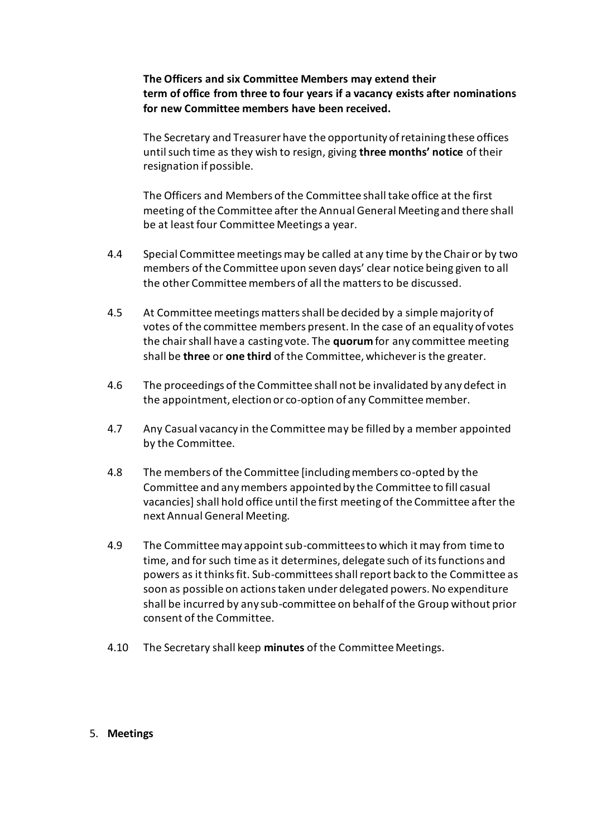**The Officers and six Committee Members may extend their term of office from three to four years if a vacancy exists after nominations for new Committee members have been received.**

The Secretary and Treasurer have the opportunity of retaining these offices until such time as they wish to resign, giving **three months' notice** of their resignation if possible.

The Officers and Members of the Committee shall take office at the first meeting of the Committee after the Annual General Meeting and there shall be at least four Committee Meetings a year.

- 4.4 Special Committee meetings may be called at any time by the Chair or by two members of the Committee upon seven days' clear notice being given to all the other Committee members of all the matters to be discussed.
- 4.5 At Committee meetings matters shall be decided by a simple majority of votes of the committee members present. In the case of an equality of votes the chair shall have a casting vote. The **quorum** for any committee meeting shall be **three** or **one third** of the Committee, whichever is the greater.
- 4.6 The proceedings of the Committee shall not be invalidated by any defect in the appointment, election or co-option of any Committee member.
- 4.7 Any Casual vacancy in the Committee may be filled by a member appointed by the Committee.
- 4.8 The members of the Committee [including members co-opted by the Committee and any members appointed by the Committee to fill casual vacancies] shall hold office until the first meeting of the Committee after the next Annual General Meeting.
- 4.9 The Committee may appoint sub-committees to which it may from time to time, and for such time as it determines, delegate such of its functions and powers as it thinks fit. Sub-committees shall report back to the Committee as soon as possible on actions taken under delegated powers. No expenditure shall be incurred by any sub-committee on behalf of the Group without prior consent of the Committee.
- 4.10 The Secretary shall keep **minutes** of the Committee Meetings.

#### 5. **Meetings**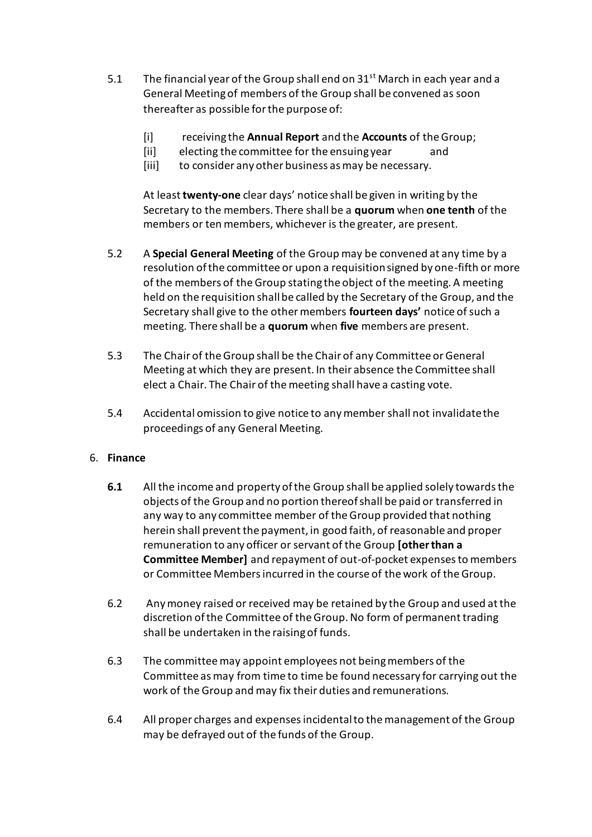- 5.1 The financial year of the Group shall end on  $31<sup>st</sup>$  March in each year and a General Meeting of members of the Group shall be convened as soon thereafter as possible for the purpose of:
	- [i] receiving the **Annual Report** and the **Accounts** of the Group;
	- [ii] electing the committee for the ensuing year and
	- [iii] to consider any other business as may be necessary.

At least **twenty-one** clear days' notice shall be given in writing by the Secretary to the members. There shall be a **quorum** when **one tenth** of the members or ten members, whichever is the greater, are present.

- 5.2 A **Special General Meeting** of the Group may be convened at any time by a resolution of the committee or upon a requisition signed by one-fifth or more of the members of the Group stating the object of the meeting. A meeting held on the requisition shall be called by the Secretary of the Group, and the Secretary shall give to the other members **fourteen days'** notice of such a meeting. There shall be a **quorum** when **five** members are present.
- 5.3 The Chair of the Group shall be the Chair of any Committee or General Meeting at which they are present. In their absence the Committee shall elect a Chair. The Chair of the meeting shall have a casting vote.
- 5.4 Accidental omission to give notice to any member shall not invalidate the proceedings of any General Meeting.

# 6. **Finance**

- **6.1** All the income and property of the Group shall be applied solely towards the objects of the Group and no portion thereof shall be paid or transferred in any way to any committee member of the Group provided that nothing herein shall prevent the payment, in good faith, of reasonable and proper remuneration to any officer or servant of the Group **[other than a Committee Member]** and repayment of out-of-pocket expenses to members or Committee Members incurred in the course of the work of the Group.
- 6.2 Any money raised or received may be retained by the Group and used at the discretion of the Committee of the Group. No form of permanent trading shall be undertaken in the raising of funds.
- 6.3 The committee may appoint employees not being members of the Committee as may from time to time be found necessary for carrying out the work of the Group and may fix their duties and remunerations.
- 6.4 All proper charges and expenses incidental to the management of the Group may be defrayed out of the funds of the Group.